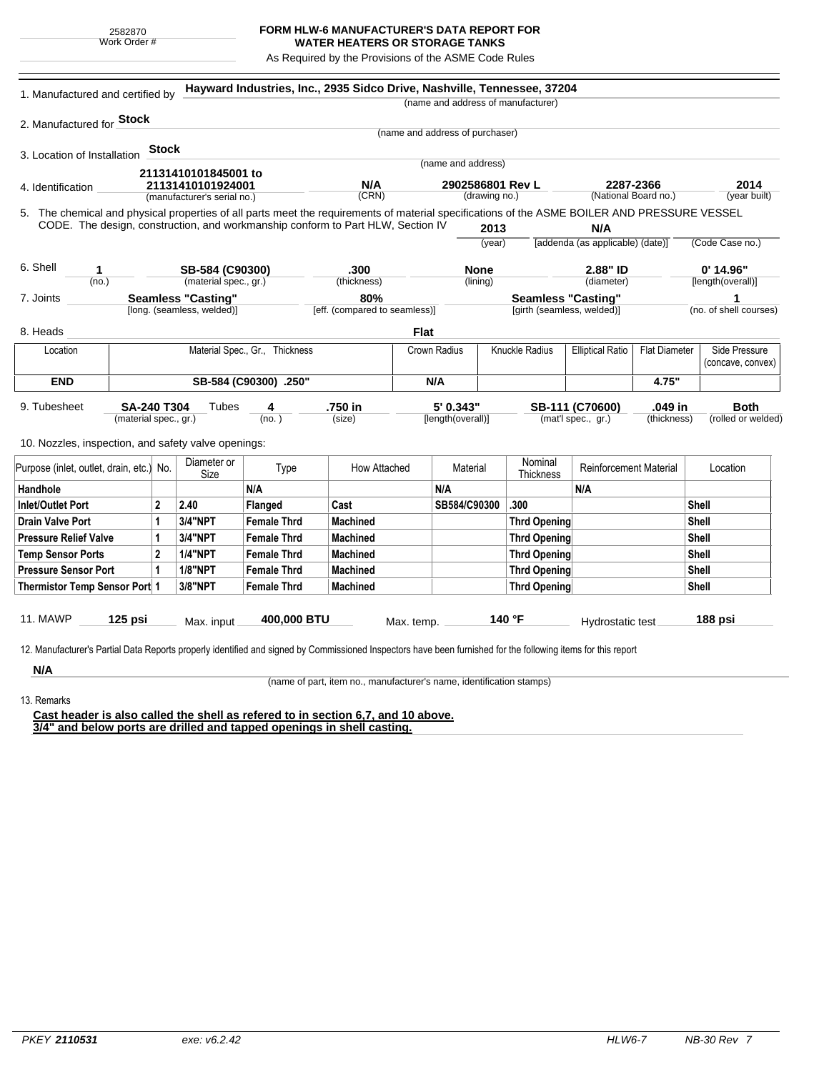## **FORM HLW-6 MANUFACTURER'S DATA REPORT FOR WATER HEATERS OR STORAGE TANKS**

As Required by the Provisions of the ASME Code Rules

| 2. Manufactured for <b>Stock</b><br>3. Location of Installation<br>4. Identification<br>5. The chemical and physical properties of all parts meet the requirements of material specifications of the ASME BOILER AND PRESSURE VESSEL<br>CODE. The design, construction, and workmanship conform to Part HLW, Section IV<br>6. Shell<br>1<br>(no.)<br>7. Joints<br>8. Heads<br>Location<br><b>END</b> | <b>Stock</b><br>21131410101845001 to<br>21131410101924001<br>(manufacturer's serial no.)<br>SB-584 (C90300)<br>(material spec., gr.)<br><b>Seamless "Casting"</b><br>[long. (seamless, welded)] |                    | N/A<br>(CRN)<br>.300<br>(thickness)<br>80% | (name and address of manufacturer)<br>(name and address of purchaser) | (name and address)<br>2902586801 Rev L<br>(drawing no.)<br>2013<br>(year)<br><b>None</b> |                     | N/A<br>[addenda (as applicable) (date)] | 2287-2366<br>(National Board no.) | 2014<br>(year built)             |
|------------------------------------------------------------------------------------------------------------------------------------------------------------------------------------------------------------------------------------------------------------------------------------------------------------------------------------------------------------------------------------------------------|-------------------------------------------------------------------------------------------------------------------------------------------------------------------------------------------------|--------------------|--------------------------------------------|-----------------------------------------------------------------------|------------------------------------------------------------------------------------------|---------------------|-----------------------------------------|-----------------------------------|----------------------------------|
|                                                                                                                                                                                                                                                                                                                                                                                                      |                                                                                                                                                                                                 |                    |                                            |                                                                       |                                                                                          |                     |                                         |                                   |                                  |
|                                                                                                                                                                                                                                                                                                                                                                                                      |                                                                                                                                                                                                 |                    |                                            |                                                                       |                                                                                          |                     |                                         |                                   |                                  |
|                                                                                                                                                                                                                                                                                                                                                                                                      |                                                                                                                                                                                                 |                    |                                            |                                                                       |                                                                                          |                     |                                         |                                   |                                  |
|                                                                                                                                                                                                                                                                                                                                                                                                      |                                                                                                                                                                                                 |                    |                                            |                                                                       |                                                                                          |                     |                                         |                                   |                                  |
|                                                                                                                                                                                                                                                                                                                                                                                                      |                                                                                                                                                                                                 |                    |                                            |                                                                       |                                                                                          |                     |                                         |                                   |                                  |
|                                                                                                                                                                                                                                                                                                                                                                                                      |                                                                                                                                                                                                 |                    |                                            |                                                                       |                                                                                          |                     |                                         |                                   |                                  |
|                                                                                                                                                                                                                                                                                                                                                                                                      |                                                                                                                                                                                                 |                    |                                            |                                                                       |                                                                                          |                     |                                         |                                   |                                  |
|                                                                                                                                                                                                                                                                                                                                                                                                      |                                                                                                                                                                                                 |                    |                                            |                                                                       |                                                                                          |                     |                                         |                                   |                                  |
|                                                                                                                                                                                                                                                                                                                                                                                                      |                                                                                                                                                                                                 |                    |                                            |                                                                       |                                                                                          |                     |                                         |                                   | (Code Case no.)                  |
|                                                                                                                                                                                                                                                                                                                                                                                                      |                                                                                                                                                                                                 |                    |                                            |                                                                       |                                                                                          |                     |                                         |                                   |                                  |
|                                                                                                                                                                                                                                                                                                                                                                                                      |                                                                                                                                                                                                 |                    |                                            |                                                                       | (lining)                                                                                 |                     | 2.88" ID<br>(diameter)                  |                                   | $0'$ 14.96"<br>[length(overall)] |
|                                                                                                                                                                                                                                                                                                                                                                                                      |                                                                                                                                                                                                 |                    |                                            |                                                                       | <b>Seamless "Casting"</b>                                                                |                     |                                         |                                   | 1                                |
|                                                                                                                                                                                                                                                                                                                                                                                                      |                                                                                                                                                                                                 |                    | [eff. (compared to seamless)]              |                                                                       | [girth (seamless, welded)]                                                               |                     |                                         |                                   | (no. of shell courses)           |
|                                                                                                                                                                                                                                                                                                                                                                                                      |                                                                                                                                                                                                 |                    |                                            | <b>Flat</b>                                                           |                                                                                          |                     |                                         |                                   |                                  |
|                                                                                                                                                                                                                                                                                                                                                                                                      | Material Spec., Gr., Thickness                                                                                                                                                                  |                    |                                            | Crown Radius                                                          |                                                                                          | Knuckle Radius      | <b>Elliptical Ratio</b>                 | <b>Flat Diameter</b>              | Side Pressure                    |
|                                                                                                                                                                                                                                                                                                                                                                                                      |                                                                                                                                                                                                 |                    |                                            |                                                                       |                                                                                          |                     |                                         |                                   | (concave, convex)                |
|                                                                                                                                                                                                                                                                                                                                                                                                      | SB-584 (C90300) .250"                                                                                                                                                                           |                    |                                            | N/A                                                                   |                                                                                          |                     |                                         | 4.75"                             |                                  |
| 9. Tubesheet<br><b>SA-240 T304</b>                                                                                                                                                                                                                                                                                                                                                                   | Tubes                                                                                                                                                                                           | 4                  | .750 in                                    |                                                                       | 5' 0.343"                                                                                |                     | SB-111 (C70600)                         | .049 in                           | <b>Both</b>                      |
| (material spec., gr.)                                                                                                                                                                                                                                                                                                                                                                                |                                                                                                                                                                                                 | (no.)              | (size)                                     | [length(overall)]                                                     |                                                                                          | (mat'l spec., gr.)  |                                         | (thickness)                       | (rolled or welded)               |
| 10. Nozzles, inspection, and safety valve openings:                                                                                                                                                                                                                                                                                                                                                  |                                                                                                                                                                                                 |                    |                                            |                                                                       |                                                                                          |                     |                                         |                                   |                                  |
|                                                                                                                                                                                                                                                                                                                                                                                                      | Diameter or                                                                                                                                                                                     |                    |                                            |                                                                       |                                                                                          | Nominal             |                                         |                                   |                                  |
| Purpose (inlet, outlet, drain, etc.) No.                                                                                                                                                                                                                                                                                                                                                             | Size                                                                                                                                                                                            | Type               | How Attached                               |                                                                       | Material                                                                                 | Thickness           | Reinforcement Material                  |                                   | Location                         |
| Handhole                                                                                                                                                                                                                                                                                                                                                                                             |                                                                                                                                                                                                 | N/A                |                                            | N/A                                                                   |                                                                                          |                     | N/A                                     |                                   |                                  |
| <b>Inlet/Outlet Port</b><br>$\overline{2}$                                                                                                                                                                                                                                                                                                                                                           | 2.40                                                                                                                                                                                            | Flanged            | Cast                                       |                                                                       | SB584/C90300                                                                             | .300                |                                         |                                   | <b>Shell</b>                     |
| <b>Drain Valve Port</b><br>1                                                                                                                                                                                                                                                                                                                                                                         | 3/4"NPT                                                                                                                                                                                         | <b>Female Thrd</b> | Machined                                   |                                                                       |                                                                                          | <b>Thrd Opening</b> |                                         |                                   | <b>Shell</b>                     |
| <b>Pressure Relief Valve</b><br>$\mathbf 1$                                                                                                                                                                                                                                                                                                                                                          | 3/4"NPT                                                                                                                                                                                         | <b>Female Thrd</b> | Machined                                   |                                                                       |                                                                                          | <b>Thrd Opening</b> |                                         |                                   | <b>Shell</b>                     |
| $\overline{2}$<br><b>Temp Sensor Ports</b>                                                                                                                                                                                                                                                                                                                                                           | <b>1/4"NPT</b>                                                                                                                                                                                  | <b>Female Thrd</b> | Machined                                   |                                                                       |                                                                                          | <b>Thrd Opening</b> |                                         |                                   | Shell                            |
| <b>Pressure Sensor Port</b><br>$\mathbf{1}$                                                                                                                                                                                                                                                                                                                                                          | <b>1/8"NPT</b>                                                                                                                                                                                  | <b>Female Thrd</b> | <b>Machined</b>                            |                                                                       |                                                                                          | <b>Thrd Opening</b> |                                         |                                   | Shell                            |
| Thermistor Temp Sensor Port 1                                                                                                                                                                                                                                                                                                                                                                        | 3/8"NPT                                                                                                                                                                                         | <b>Female Thrd</b> | <b>Machined</b>                            |                                                                       |                                                                                          | <b>Thrd Opening</b> |                                         |                                   | <b>Shell</b>                     |
|                                                                                                                                                                                                                                                                                                                                                                                                      |                                                                                                                                                                                                 |                    |                                            |                                                                       |                                                                                          |                     |                                         |                                   |                                  |
| <b>11. MAWP</b><br>125 psi                                                                                                                                                                                                                                                                                                                                                                           | Max. input                                                                                                                                                                                      | 400,000 BTU        |                                            | Max. temp.                                                            |                                                                                          | 140 °F              | Hydrostatic test                        |                                   | 188 psi                          |
|                                                                                                                                                                                                                                                                                                                                                                                                      |                                                                                                                                                                                                 |                    |                                            |                                                                       |                                                                                          |                     |                                         |                                   |                                  |
| 12. Manufacturer's Partial Data Reports properly identified and signed by Commissioned Inspectors have been furnished for the following items for this report                                                                                                                                                                                                                                        |                                                                                                                                                                                                 |                    |                                            |                                                                       |                                                                                          |                     |                                         |                                   |                                  |

(name of part, item no., manufacturer's name, identification stamps)

13. Remarks

**Cast header is also called the shell as refered to in section 6,7, and 10 above. 3/4" and below ports are drilled and tapped openings in shell casting.**